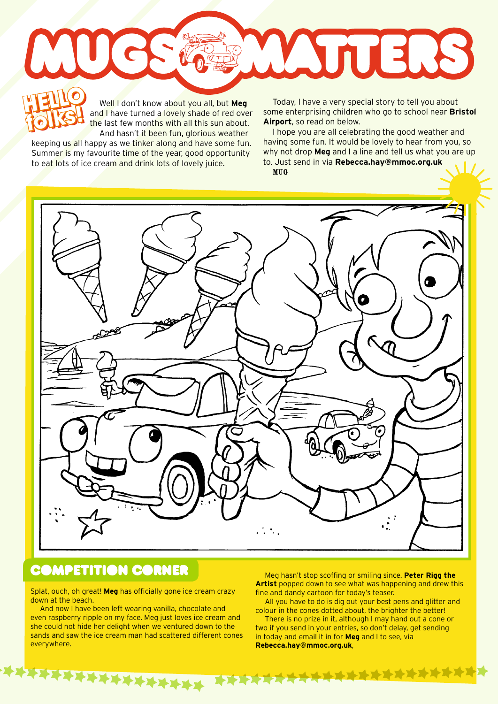Well I don't know about you all, but **Meg** and I have turned a lovely shade of red over the last few months with all this sun about. And hasn't it been fun, glorious weather **HELLO HELLO** 

keeping us all happy as we tinker along and have some fun. Summer is my favourite time of the year, good opportunity to eat lots of ice cream and drink lots of lovely juice.

**folks!**

Well I don't know about you all, but **Meg** Today, I have a very special story to tell you about<br>
the last few months with all this sun about. **Airport**, so read on below.<br> **Airport**, so read on below. some enterprising children who go to school near **Bristol Airport**, so read on below.

WYTTERS

I hope you are all celebrating the good weather and having some fun. It would be lovely to hear from you, so why not drop **Meg** and I a line and tell us what you are up to. Just send in via **Rebecca.hay@mmoc.org.uk**

MUG



## **COMPETITION CORNER**

Splat, ouch, oh great! **Meg** has officially gone ice cream crazy down at the beach.

And now I have been left wearing vanilla, chocolate and even raspberry ripple on my face. Meg just loves ice cream and she could not hide her delight when we ventured down to the sands and saw the ice cream man had scattered different cones everywhere.

**XXXXXXXXXXXX** 

Meg hasn't stop scoffing or smiling since. **Peter Rigg the Artist** popped down to see what was happening and drew this fine and dandy cartoon for today's teaser.

All you have to do is dig out your best pens and glitter and colour in the cones dotted about, the brighter the better!

There is no prize in it, although I may hand out a cone or two if you send in your entries, so don't delay, get sending in today and email it in for **Meg** and I to see, via **Rebecca.hay@mmoc.org.uk**,

**XXXXXXXXXXXXXXXX**